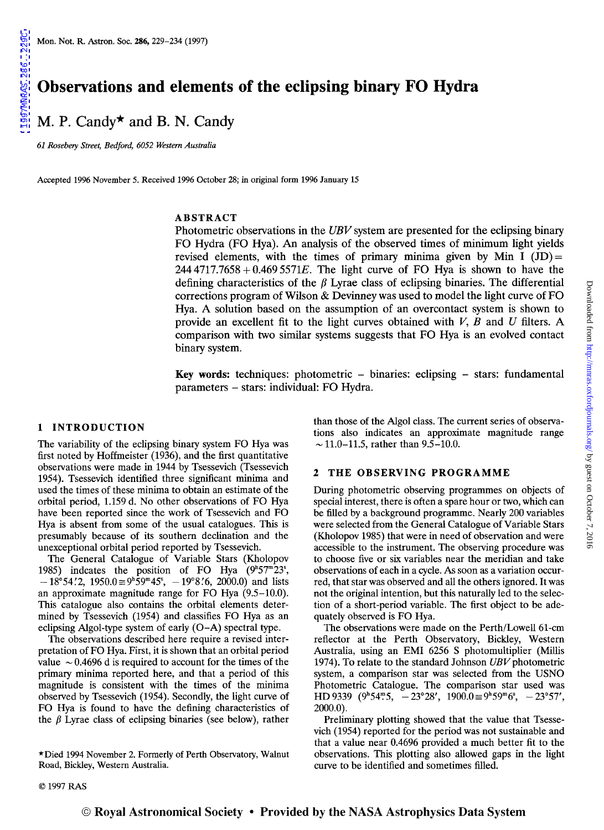[1997MNRAS.286..229C](http://adsabs.harvard.edu/abs/1997MNRAS.286..229C)

1997MMRAS.286..229C

M. P. Candy\* and B. N. Candy

 $61$  Rosebery Street, Bedford, 6052 Western Australia

Accepted 1996 November 5. Received 1996 October 28; in original form 1996 January 15

### ABSTRACT

Photometric observations in the UBV system are presented for the eclipsing binary FO Hydra (FO Hya). An analysis of the observed times of minimum light yields revised elements, with the times of primary minima given by Min I  $(ID)$  = *2444717.7658+0.4695571E.* The light curve of FO Hya is shown to have the defining characteristics of the  $\beta$  Lyrae class of eclipsing binaries. The differential corrections program of Wilson & Devinney was used to model the light curve of FO Hya. A solution based on the assumption of an overcontact system is shown to provide an excellent fit to the light curves obtained with  $V$ ,  $B$  and  $U$  filters. A comparison with two similar systems suggests that FO Hya is an evolved contact binary system.

Key words: techniques: photometric  $-$  binaries: eclipsing  $-$  stars: fundamental parameters - stars: individual: FO Hydra.

# 1 INTRODUCTION

The variability of the eclipsing binary system FO Hya was first noted by Hoffmeister (1936), and the first quantitative observations were made in 1944 by Tsessevich (Tsessevich 1954). Tsessevich identified three significant minima and used the times of these minima to obtain an estimate of the orbital period, 1.159 d. No other observations of FO Hya have been reported since the work of Tsessevich and FO Hya is absent from some of the usual catalogues. This is presumably because of its southern declination and the unexceptional orbital period reported by Tsessevich.

The General Catalogue of Variable Stars (Kholopov 1985) indcates the position of FO Hya  $(9<sup>h</sup>57<sup>m</sup>23<sup>s</sup>,$  $-18^{\circ}54'$ .  $2, 1950.0 \equiv 9^{\circ}59^{\circ}45^{\circ}, -19^{\circ}8'$ .  $6, 2000.0)$  and lists an approximate magnitude range for FO Hya (9.5-10.0). This catalogue also contains the orbital elements determined by Tsessevich (1954) and classifies FO Hya as an eclipsing Algol-type system of early (O-A) spectral type.

The observations described here require a revised interpretation of FO Hya. First, it is shown that an orbital period value  $\sim 0.4696$  d is required to account for the times of the primary minima reported here, and that a period of this magnitude is consistent with the times of the minima observed by Tsessevich (1954). Secondly, the light curve of FO Hya is found to have the defining characteristics of the  $\beta$  Lyrae class of eclipsing binaries (see below), rather than those of the Algol class. The current series of observations also indicates an approximate magnitude range  $\sim$  11.0-11.5, rather than 9.5-10.0.

#### 2 THE OBSERVING PROGRAMME

During photometric observing programmes on objects of special interest, there is often a spare hour or two, which can be filled by a background programme. Nearly 200 variables were selected from the General Catalogue of Variable Stars (Kholopov 1985) that were in need of observation and were accessible to the instrument. The observing procedure was to choose five or six variables near the meridian and take observations of each in a cycle. As soon as a variation occurred, that star was observed and all the others ignored. It was not the original intention, but this naturally led to the selection of a short-period variable. The first object to be adequately observed is FO Hya.

The observations were made on the Perth/Lowell 61-cm reflector at the Perth Observatory, Bickley, Western Australia, using an EMI 6256 S photomultiplier (Millis 1974). To relate to the standard Johnson *UBV* photometric system, a comparison star was selected from the USNO Photometric Catalogue. The comparison star used was HD 9339 ( $9^{\text{h}}54^{\text{m}}5$ ,  $-23^{\circ}28'$ ,  $1900.0 \equiv 9^{\text{h}}59^{\text{m}}6^{\text{s}}$ ,  $-23^{\circ}57'$ , 2000.0).

Preliminary plotting showed that the value that Tsessevich (1954) reported for the period was not sustainable and that a value near 0.4696 provided a much better fit to the observations. This plotting also allowed gaps in the light curve to be identified and sometimes filled.

<sup>\*</sup>Died 1994 November 2. Formerly of Perth Observatory, Walnut Road, Bickley, Western Australia.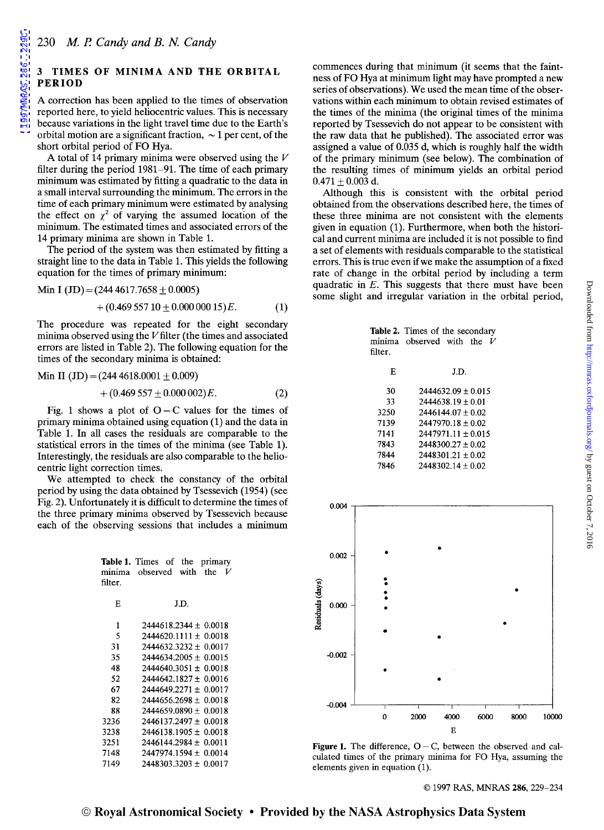A correction has been applied to the times of observation reported here, to yield heliocentric values. This is necessary because variations in the light travel time due to the Earth's orbital motion are a significant fraction,  $\sim$  1 per cent, of the short orbital period of FO Hya.

A total of 14 primary minima were observed using the *V*  filter during the period 1981-91. The time of each primary minimum was estimated by fitting a quadratic to the data in a small interval surrounding the minimum. The errors in the time of each primary minimum were estimated by analysing the effect on  $\chi^2$  of varying the assumed location of the minimum. The estimated times and associated errors of the 14 primary minima are shown in Table 1.

The period of the system was then estimated by fitting a straight line to the data in Table 1. This yields the following equation for the times of primary minimum:

Min I (JD) = 
$$
(244\,4617.7658 \pm 0.0005)
$$

$$
+(0.469\,557\,10\pm0.000\,000\,15)E.\tag{1}
$$

The procedure was repeated for the eight secondary minima observed using the  $V$  filter (the times and associated errors are listed in Table 2). The following equation for the times of the secondary minima is obtained:

Min II (JD) = 
$$
(244\,4618.0001 \pm 0.009)
$$
  
+  $(0.469\,557 \pm 0.000\,002)E$ . (2)

Fig. 1 shows a plot of  $O - C$  values for the times of primary minima obtained using equation (1) and the data in Table 1. In all cases the residuals are comparable to the statistical errors in the times of the minima (see Table 1). Interestingly, the residuals are also comparable to the heliocentric light correction times.

We attempted to check the constancy of the orbital period by using the data obtained by Tsessevich (1954) (see Fig. 2). Unfortunately it is difficult to determine the times of  $_{0.004}$ the three primary minima observed by Tsessevich because each of the observing sessions that includes a minimum

|         | Table 1. Times of the<br>primary |
|---------|----------------------------------|
|         | minima observed with the $V$     |
| filter. |                                  |
|         |                                  |
| E       | J.D.                             |
|         |                                  |
| 1       | $2444618.2344 + 0.0018$          |
| 5       | $2444620.1111 + 0.0018$          |
| 31      | $2444632.3232 + 0.0017$          |
| 35      | $2444634.2005 \pm 0.0015$        |
| 48      | $2444640.3051 \pm 0.0018$        |
| 52      | $2444642.1827 \pm 0.0016$        |
| 67      | $2444649.2271 \pm 0.0017$        |
| 82      | $2444656.2698 + 0.0018$          |
| 88      | $2444659.0890 \pm 0.0018$        |
| 3236    | 2446137.2497 + 0.0018            |
| 3238    | $2446138.1905 \pm 0.0018$        |
| 3251    | $2446144.2984 \pm 0.0011$        |
| 7148    | 2447974.1594 ± 0.0014            |
| 7149    | $2448303.3203 \pm 0.0017$        |
|         |                                  |

commences during that minimum (it seems that the faintness of FO Hya at minimum light may have prompted a new series of observations). We used the mean time of the observations within each minimum to obtain revised estimates of the times of the minima (the original times of the minima reported by Tsessevich do not appear to be consistent with the raw data that he published). The associated error was assigned a value of 0.035 d, which is roughly half the width of the primary minimum (see below). The combination of the resulting times of minimum yields an orbital period  $0.471 \pm 0.003$  d.

Although this is consistent with the orbital period obtained from the observations described here, the times of these three minima are not consistent with the elements given in equation (1). Furthermore, when both the historical and current minima are included it is not possible to find a set of elements with residuals comparable to the statistical errors. This is true even ifwe make the assumption of a fixed rate of change in the orbital period by including a term quadratic in E. This suggests that there must have been some slight and irregular variation in the orbital period,

| filter. | Table 2. Times of the secondary<br>minima observed with the<br>V |
|---------|------------------------------------------------------------------|
| F.      | J.D.                                                             |
| 30      | $2444632.09 + 0.015$                                             |
| 33      | $2444638.19 + 0.01$                                              |
| 3250    | $2446144.07 + 0.02$                                              |
| 7139    | $2447970.18 + 0.02$                                              |
| 7141    | $2447971.11 + 0.015$                                             |
| 7843    | $2448300.27 + 0.02$                                              |
| 7844    | $2448301.21 + 0.02$                                              |
| 7846    | $2448302.14 + 0.02$                                              |



Figure 1. The difference,  $O - C$ , between the observed and calculated times of the primary minima for FO Hya, assuming the elements given in equation (1).

© 1997 RAS, MNRAS 286, 229-234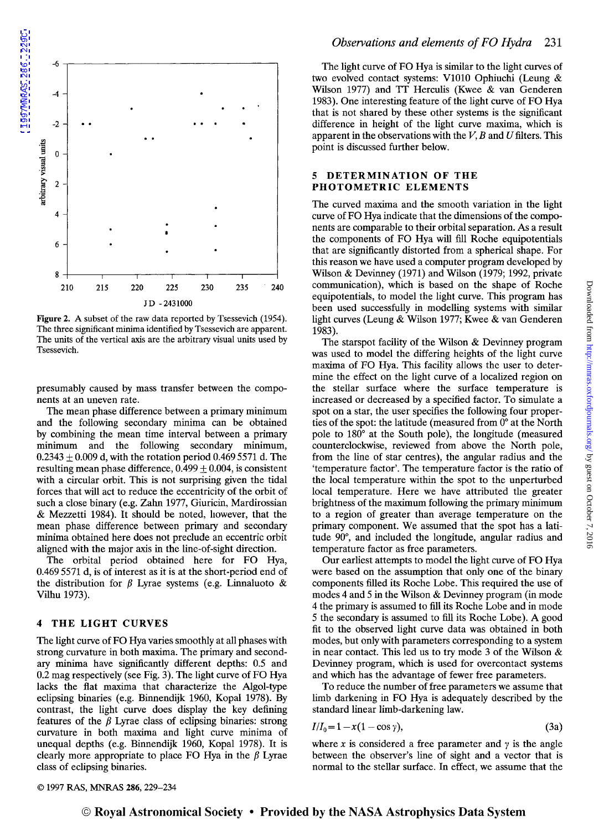

Figure 2. A subset of the raw data reported by Tsessevich (1954). The three significant minima identified by Tsessevich are apparent. The units of the vertical axis are the arbitrary visual units used by Tsessevich.

presumably caused by mass transfer between the components at an uneven rate.

The mean phase difference between a primary minimum and the following secondary minima can be obtained by combining the mean time interval between a primary minimum and the following secondary minimum,  $0.2343 \pm 0.009$  d, with the rotation period 0.469 5571 d. The resulting mean phase difference,  $0.499 \pm 0.004$ , is consistent with a circular orbit. This is not surprising given the tidal forces that will act to reduce the eccentricity of the orbit of such a close binary (e.g. Zahn 1977, Giuricin, Mardirossian & Mezzetti 1984). It should be noted, however, that the mean phase difference between primary and secondary minima obtained here does not preclude an eccentric orbit aligned with the major axis in the line-of-sight direction.

The orbital period obtained here for FO Hya, 0.4695571 d, is of interest as it is at the short-period end of the distribution for  $\beta$  Lyrae systems (e.g. Linnaluoto & Vilhu 1973).

# 4 THE LIGHT CURVES

The light curve of FO Hya varies smoothly at all phases with strong curvature in both maxima. The primary and secondary minima have significantly different depths: 0.5 and 0.2 mag respectively (see Fig. 3). The light curve of FO Hya lacks the flat maxima that characterize the Algol-type eclipsing binaries (e.g. Binnendijk 1960, Kopal 1978). By contrast, the light curve does display the key defining features of the  $\beta$  Lyrae class of eclipsing binaries: strong curvature in both maxima and light curve minima of unequal depths (e.g. Binnendijk 1960, Kopal 1978). It is clearly more appropriate to place FO Hya in the  $\beta$  Lyrae class of eclipsing binaries.

The light curve of FO Hya is similar to the light curves of two evolved contact systems: V1010 Ophiuchi (Leung & Wilson 1977) and TT Herculis (Kwee & van Genderen 1983). One interesting feature of the light curve of FO Hya that is not shared by these other systems is the significant difference in height of the light curve maxima, which is apparent in the observations with the  $V$ ,  $B$  and  $U$  filters. This point is discussed further below.

#### 5 DETERMINATION OF THE PHOTOMETRIC ELEMENTS

The curved maxima and the smooth variation in the light curve of FO Hya indicate that the dimensions of the components are comparable to their orbital separation. As a result the components of FO Hya will fill Roche equipotentials that are significantly distorted from a spherical shape. For this reason we have used a computer program developed by Wilson & Devinney (1971) and Wilson (1979; 1992, private communication), which is based on the shape of Roche equipotentials, to model the light curve. This program has been used successfully in modelling systems with similar light curves (Leung & Wilson 1977; Kwee & van Genderen 1983).

The starspot facility of the Wilson & Devinney program was used to model the differing heights of the light curve maxima of FO Hya. This facility allows the user to determine the effect on the light curve of a localized region on the stellar surface where the surface temperature is increased or decreased by a specified factor. To simulate a spot on a star, the user specifies the following four properties of the spot: the latitude (measured from 0° at the North pole to *180°* at the South pole), the longitude (measured counterclockwise, reviewed from above the North pole, from the line of star centres), the angular radius and the 'temperature factor'. The temperature factor is the ratio of the local temperature within the spot to the unperturbed local temperature. Here we have attributed the greater brightness of the maximum following the primary minimum to a region of greater than average temperature on the primary component. We assumed that the spot has a latitude 90°, and included the longitude, angular radius and temperature factor as free parameters.

Our earliest attempts to model the light curve of FO Hya were based on the assumption that only one of the binary components filled its Roche Lobe. This required the use of modes 4 and 5 in the Wilson & Devinney program (in mode 4 the primary is assumed to fill its Roche Lobe and in mode 5 the secondary is assumed to fill its Roche Lobe). A good fit to the observed light curve data was obtained in both modes, but only with parameters corresponding to a system in near contact. This led us to try mode 3 of the Wilson & Devinney program, which is used for overcontact systems and which has the advantage of fewer free parameters.

To reduce the number of free parameters we assume that limb darkening in FO Hya is adequately described by the standard linear limb-darkening law.

$$
I/I_0 = 1 - x(1 - \cos \gamma),\tag{3a}
$$

where  $x$  is considered a free parameter and  $\gamma$  is the angle between the observer's line of sight and a vector that is normal to the stellar surface. In effect, we assume that the Downloaded from http://mmras.oxfordjournals.org/ by guest on October 7, 2016 by guest on October 7, 2016 <http://mnras.oxfordjournals.org/> Downloaded from

© 1997 RAS, MNRAS 286, 229-234

© Royal Astronomical Society • Provided by the NASA Astrophysics Data System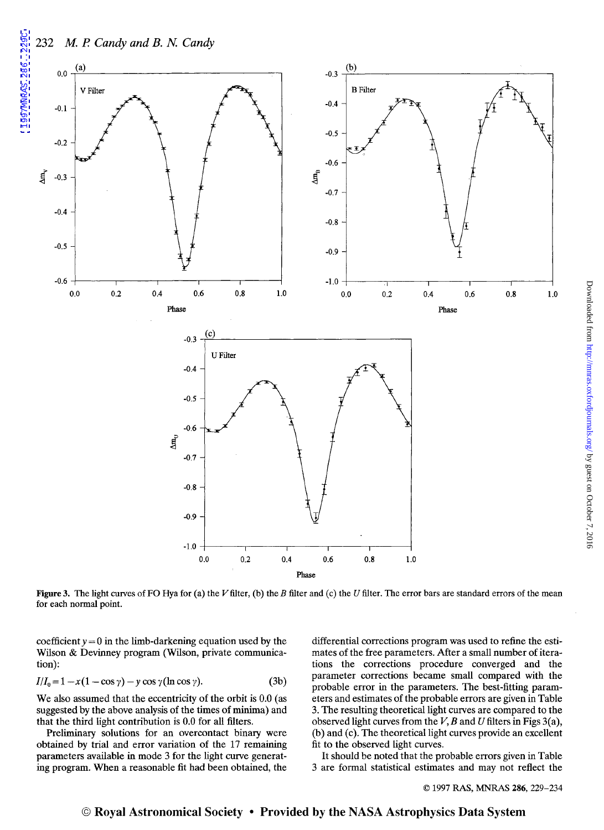1997MMRAS.286..229C



Figure 3. The light curves of FO Hya for (a) the V filter, (b) the B filter and (c) the U filter. The error bars are standard errors of the mean for each normal point.

coefficient  $y = 0$  in the limb-darkening equation used by the Wilson & Devinney program (Wilson, private communication):

$$
I/I_0 = 1 - x(1 - \cos \gamma) - y \cos \gamma (\ln \cos \gamma).
$$
 (3b)

We also assumed that the eccentricity of the orbit is  $0.0$  (as suggested by the above analysis of the times of minima) and that the third light contribution is 0.0 for all filters.

Preliminary solutions for an overcontact binary were obtained by trial and error variation of the 17 remaining parameters available in mode 3 for the light curve generating program. When a reasonable fit had been obtained, the

differential corrections program was used to refine the estimates of the free parameters. After a small number of iterations the corrections procedure converged and the parameter corrections became small compared with the probable error in the parameters. The best-fitting parameters and estimates of the probable errors are given in Table 3. The resulting theoretical light curves are compared to the observed light curves from the *V, B* and *U* filters in Figs 3( a), (b) and (c). The theoretical light curves provide an excellent fit to the observed light curves.

It should be noted that the probable errors given in Table 3 are formal statistical estimates and may not reflect the

© 1997 RAS, MNRAS 286, 229-234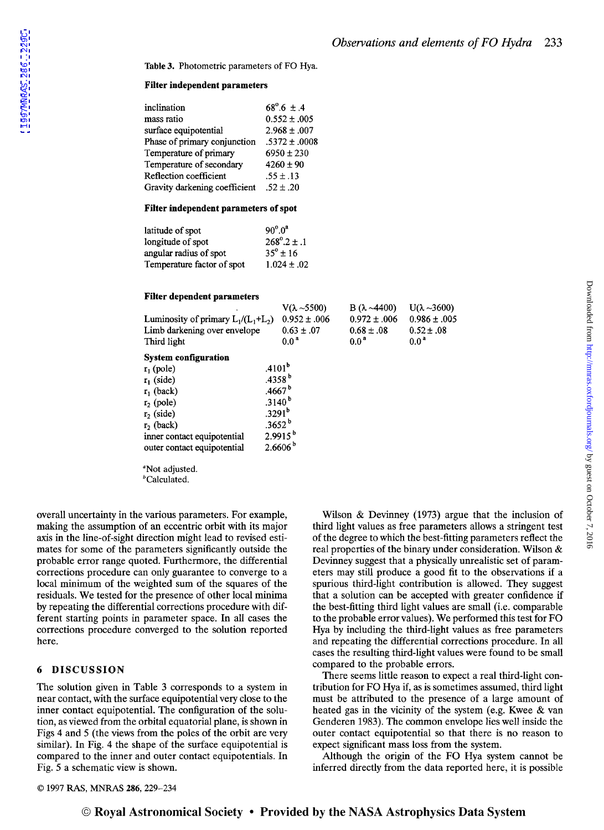0.986± .005

Table 3. Photometric parameters of FO Hya.

# Filter independent parameters

| inclination                   | $68^{\circ}.6 \pm .4$ |
|-------------------------------|-----------------------|
| mass ratio                    | $0.552 \pm .005$      |
| surface equipotential         | $2.968 \pm .007$      |
| Phase of primary conjunction  | $.5372 \pm .0008$     |
| Temperature of primary        | $6950 \pm 230$        |
| Temperature of secondary      | $4260 \pm 90$         |
| Reflection coefficient        | $.55 \pm .13$         |
| Gravity darkening coefficient | $.52 \pm .20$         |

### Filter independent parameters of spot

| latitude of spot           | $90^{\circ}.0^{\circ}$ |  |
|----------------------------|------------------------|--|
| longitude of spot          | $268^{\circ}.2 \pm .1$ |  |
| angular radius of spot     | $35^{\circ} \pm 16$    |  |
| Temperature factor of spot | $1.024 \pm .02$        |  |

#### Filter dependent parameters

| Luminosity of primary $L_1/(L_1+L_2)$<br>Limb darkening over envelope<br>Third light | $V(\lambda \sim 5500)$<br>$0.952 \pm .006$<br>$0.63 \pm .07$<br>0.0 <sup>a</sup> | $B(\lambda - 4400)$<br>$0.972 \pm .006$<br>$0.68 \pm .08$<br>0.0 <sup>a</sup> | $U(\lambda \sim 3600)$<br>$0.986 \pm .003$<br>$0.52 \pm .08$<br>0.0 <sup>a</sup> |
|--------------------------------------------------------------------------------------|----------------------------------------------------------------------------------|-------------------------------------------------------------------------------|----------------------------------------------------------------------------------|
| <b>System configuration</b>                                                          |                                                                                  |                                                                               |                                                                                  |
| $r_1$ (pole)                                                                         | .4101 <sup>b</sup>                                                               |                                                                               |                                                                                  |
| $r_1$ (side)                                                                         | .4358 <sup>b</sup>                                                               |                                                                               |                                                                                  |
| $r_1$ (back)                                                                         | .4667 <sup>b</sup>                                                               |                                                                               |                                                                                  |
| $r2$ (pole)                                                                          | .3140 <sup>b</sup>                                                               |                                                                               |                                                                                  |
| $r_2$ (side)                                                                         | .3291 <sup>b</sup>                                                               |                                                                               |                                                                                  |
| $r_2$ (back)                                                                         | $.3652^b$                                                                        |                                                                               |                                                                                  |
| inner contact equipotential                                                          | $2.9915^{b}$                                                                     |                                                                               |                                                                                  |
| outer contact equipotential                                                          | $2.6606^{b}$                                                                     |                                                                               |                                                                                  |

bCalculated.

overall uncertainty in the various parameters. For example, making the assumption of an eccentric orbit with its major axis in the line-of-sight direction might lead to revised estimates for some of the parameters significantly outside the probable error range quoted. Furthermore, the differential corrections procedure can only guarantee to converge to a local minimum of the weighted sum of the squares of the residuals. We tested for the presence of other local minima by repeating the differential corrections procedure with different starting points in parameter space. In all cases the corrections procedure converged to the solution reported here.

# 6 DISCUSSION

The solution given in Table 3 corresponds to a system in near contact, with the surface equipotential very close to the inner contact equipotential. The configuration of the solution, as viewed from the orbital equatorial plane, is shown in Figs 4 and 5 (the views from the poles of the orbit are very similar). In Fig. 4 the shape of the surface equipotential is compared to the inner and outer contact equipotentials. In Fig. 5 a schematic view is shown.

Wilson & Devinney (1973) argue that the inclusion of third light values as free parameters allows a stringent test of the degree to which the best-fitting parameters reflect the real properties of the binary under consideration. Wilson & Devinney suggest that a physically unrealistic set of parameters may still produce a good fit to the observations if a spurious third-light contribution is allowed. They suggest that a solution can be accepted with greater confidence if the best-fitting third light values are small (i.e. comparable to the probable error values). We performed this test for FO Hya by including the third-light values as free parameters and repeating the differential corrections procedure. In all cases the resulting third-light values were found to be small compared to the probable errors.

There seems little reason to expect a real third-light contribution for FO Hya if, as is sometimes assumed, third light must be attributed to the presence of a large amount of heated gas in the vicinity of the system (e.g. Kwee & van Genderen 1983). The common envelope lies well inside the outer contact equipotential so that there is no reason to expect significant mass loss from the system.

Although the origin of the FO Hya system cannot be inferred directly from the data reported here, it is possible

© 1997 RAS, MNRAS 286, 229-234